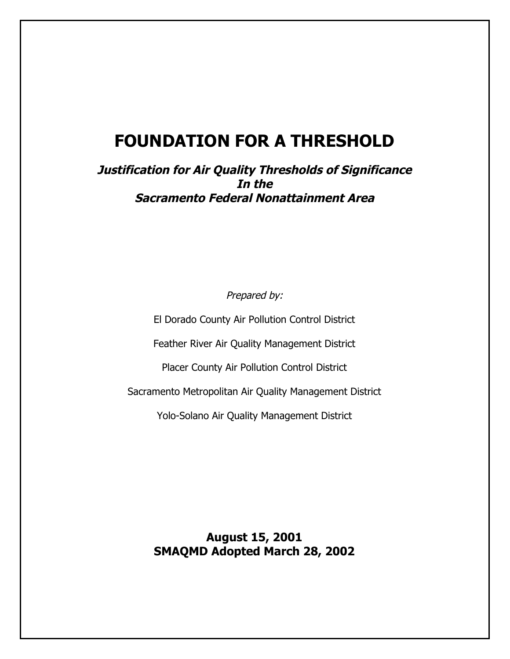# **FOUNDATION FOR A THRESHOLD**

**Justification for Air Quality Thresholds of Significance In the Sacramento Federal Nonattainment Area**

Prepared by:

El Dorado County Air Pollution Control District

Feather River Air Quality Management District

Placer County Air Pollution Control District

Sacramento Metropolitan Air Quality Management District

Yolo-Solano Air Quality Management District

**August 15, 2001 SMAQMD Adopted March 28, 2002**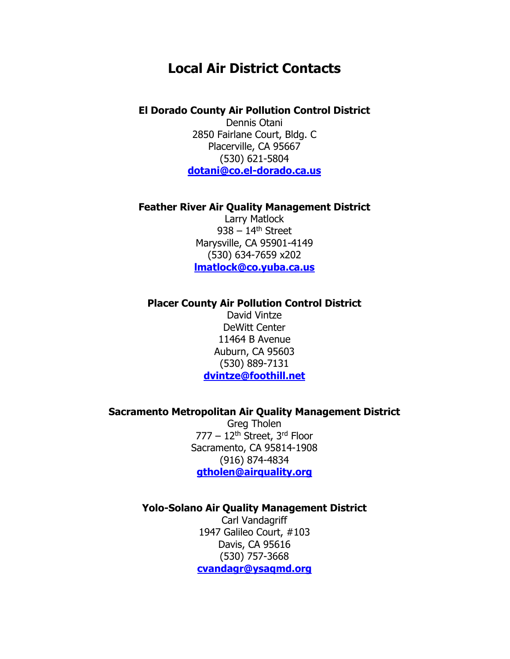## **Local Air District Contacts**

#### **El Dorado County Air Pollution Control District**

Dennis Otani 2850 Fairlane Court, Bldg. C Placerville, CA 95667 (530) 621-5804 **dotani@co.el-dorado.ca.us**

#### **Feather River Air Quality Management District**

Larry Matlock  $938 - 14$ <sup>th</sup> Street Marysville, CA 95901-4149 (530) 634-7659 x202 **lmatlock@co.yuba.ca.us**

#### **Placer County Air Pollution Control District**

David Vintze DeWitt Center 11464 B Avenue Auburn, CA 95603 (530) 889-7131 **dvintze@foothill.net**

#### **Sacramento Metropolitan Air Quality Management District**

Greg Tholen 777 – 12th Street, 3rd Floor Sacramento, CA 95814-1908 (916) 874-4834 **gtholen@airquality.org**

#### **Yolo-Solano Air Quality Management District**

Carl Vandagriff 1947 Galileo Court, #103 Davis, CA 95616 (530) 757-3668 **cvandagr@ysaqmd.org**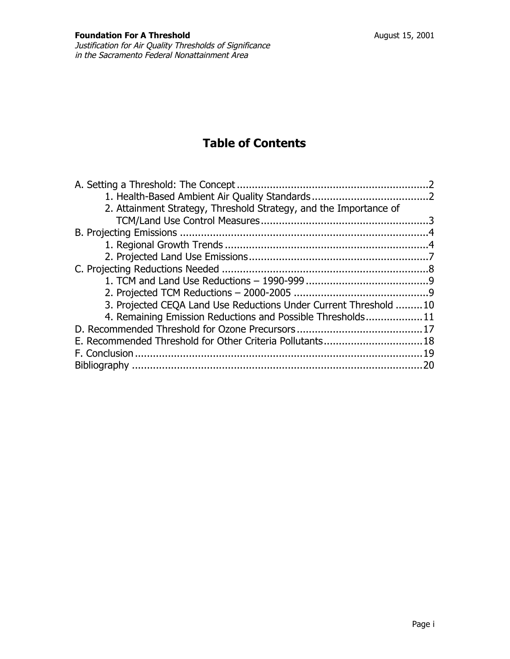## **Table of Contents**

| 2. Attainment Strategy, Threshold Strategy, and the Importance of |  |
|-------------------------------------------------------------------|--|
|                                                                   |  |
|                                                                   |  |
|                                                                   |  |
|                                                                   |  |
|                                                                   |  |
|                                                                   |  |
|                                                                   |  |
| 3. Projected CEQA Land Use Reductions Under Current Threshold 10  |  |
| 4. Remaining Emission Reductions and Possible Thresholds11        |  |
|                                                                   |  |
|                                                                   |  |
|                                                                   |  |
|                                                                   |  |
|                                                                   |  |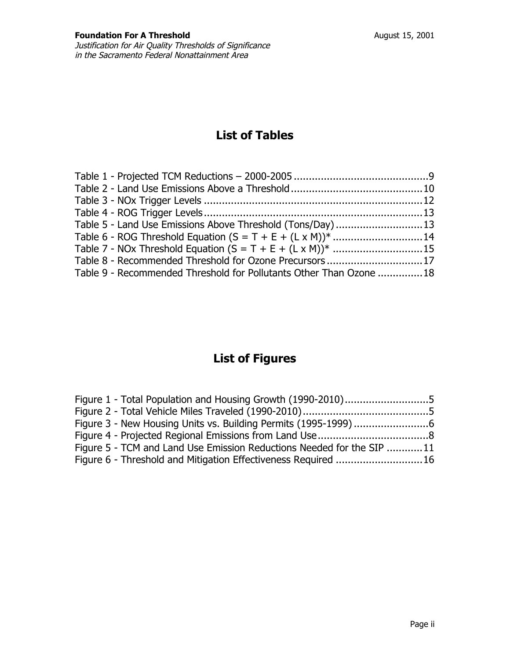## **List of Tables**

| Table 5 - Land Use Emissions Above Threshold (Tons/Day)13          |  |
|--------------------------------------------------------------------|--|
|                                                                    |  |
|                                                                    |  |
| Table 8 - Recommended Threshold for Ozone Precursors17             |  |
| Table 9 - Recommended Threshold for Pollutants Other Than Ozone 18 |  |

## **List of Figures**

| Figure 1 - Total Population and Housing Growth (1990-2010)5           |  |
|-----------------------------------------------------------------------|--|
|                                                                       |  |
|                                                                       |  |
|                                                                       |  |
| Figure 5 - TCM and Land Use Emission Reductions Needed for the SIP 11 |  |
| Figure 6 - Threshold and Mitigation Effectiveness Required 16         |  |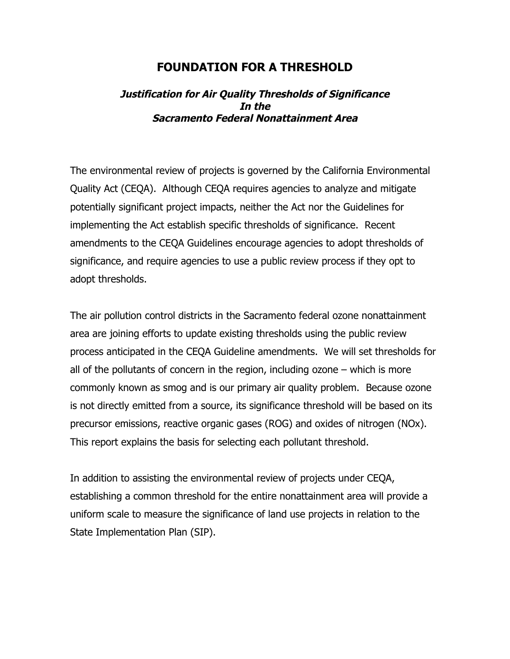## **FOUNDATION FOR A THRESHOLD**

### **Justification for Air Quality Thresholds of Significance In the Sacramento Federal Nonattainment Area**

The environmental review of projects is governed by the California Environmental Quality Act (CEQA). Although CEQA requires agencies to analyze and mitigate potentially significant project impacts, neither the Act nor the Guidelines for implementing the Act establish specific thresholds of significance. Recent amendments to the CEQA Guidelines encourage agencies to adopt thresholds of significance, and require agencies to use a public review process if they opt to adopt thresholds.

The air pollution control districts in the Sacramento federal ozone nonattainment area are joining efforts to update existing thresholds using the public review process anticipated in the CEQA Guideline amendments. We will set thresholds for all of the pollutants of concern in the region, including ozone – which is more commonly known as smog and is our primary air quality problem. Because ozone is not directly emitted from a source, its significance threshold will be based on its precursor emissions, reactive organic gases (ROG) and oxides of nitrogen (NOx). This report explains the basis for selecting each pollutant threshold.

In addition to assisting the environmental review of projects under CEQA, establishing a common threshold for the entire nonattainment area will provide a uniform scale to measure the significance of land use projects in relation to the State Implementation Plan (SIP).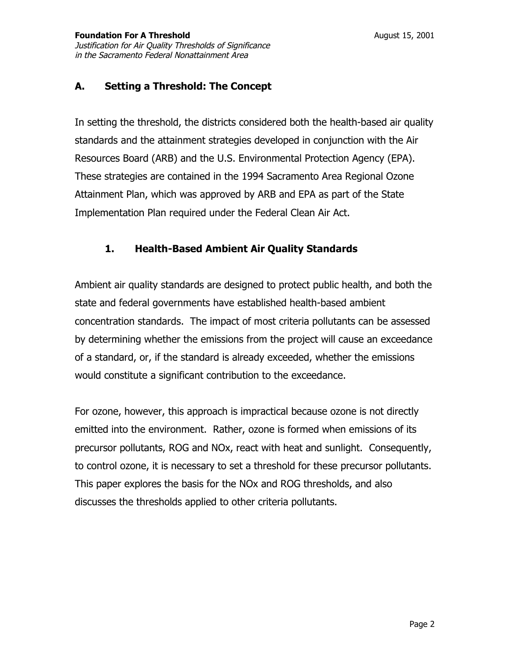### **A. Setting a Threshold: The Concept**

In setting the threshold, the districts considered both the health-based air quality standards and the attainment strategies developed in conjunction with the Air Resources Board (ARB) and the U.S. Environmental Protection Agency (EPA). These strategies are contained in the 1994 Sacramento Area Regional Ozone Attainment Plan, which was approved by ARB and EPA as part of the State Implementation Plan required under the Federal Clean Air Act.

### **1. Health-Based Ambient Air Quality Standards**

Ambient air quality standards are designed to protect public health, and both the state and federal governments have established health-based ambient concentration standards. The impact of most criteria pollutants can be assessed by determining whether the emissions from the project will cause an exceedance of a standard, or, if the standard is already exceeded, whether the emissions would constitute a significant contribution to the exceedance.

For ozone, however, this approach is impractical because ozone is not directly emitted into the environment. Rather, ozone is formed when emissions of its precursor pollutants, ROG and NOx, react with heat and sunlight. Consequently, to control ozone, it is necessary to set a threshold for these precursor pollutants. This paper explores the basis for the NOx and ROG thresholds, and also discusses the thresholds applied to other criteria pollutants.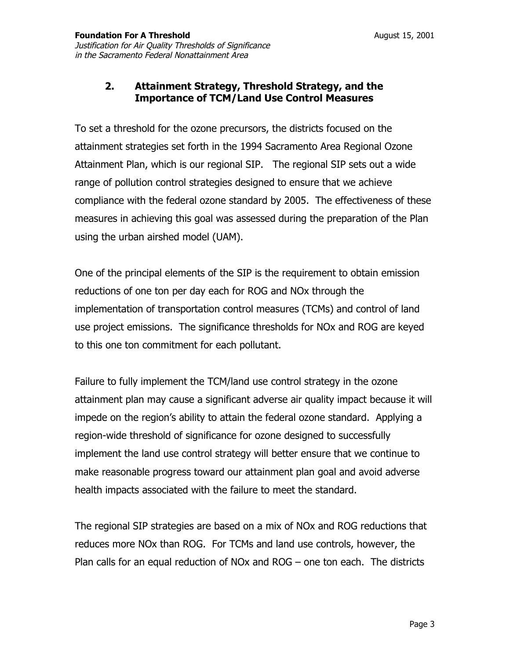#### **2. Attainment Strategy, Threshold Strategy, and the Importance of TCM/Land Use Control Measures**

To set a threshold for the ozone precursors, the districts focused on the attainment strategies set forth in the 1994 Sacramento Area Regional Ozone Attainment Plan, which is our regional SIP. The regional SIP sets out a wide range of pollution control strategies designed to ensure that we achieve compliance with the federal ozone standard by 2005. The effectiveness of these measures in achieving this goal was assessed during the preparation of the Plan using the urban airshed model (UAM).

One of the principal elements of the SIP is the requirement to obtain emission reductions of one ton per day each for ROG and NOx through the implementation of transportation control measures (TCMs) and control of land use project emissions. The significance thresholds for NOx and ROG are keyed to this one ton commitment for each pollutant.

Failure to fully implement the TCM/land use control strategy in the ozone attainment plan may cause a significant adverse air quality impact because it will impede on the region's ability to attain the federal ozone standard. Applying a region-wide threshold of significance for ozone designed to successfully implement the land use control strategy will better ensure that we continue to make reasonable progress toward our attainment plan goal and avoid adverse health impacts associated with the failure to meet the standard.

The regional SIP strategies are based on a mix of NOx and ROG reductions that reduces more NOx than ROG. For TCMs and land use controls, however, the Plan calls for an equal reduction of NOx and ROG – one ton each. The districts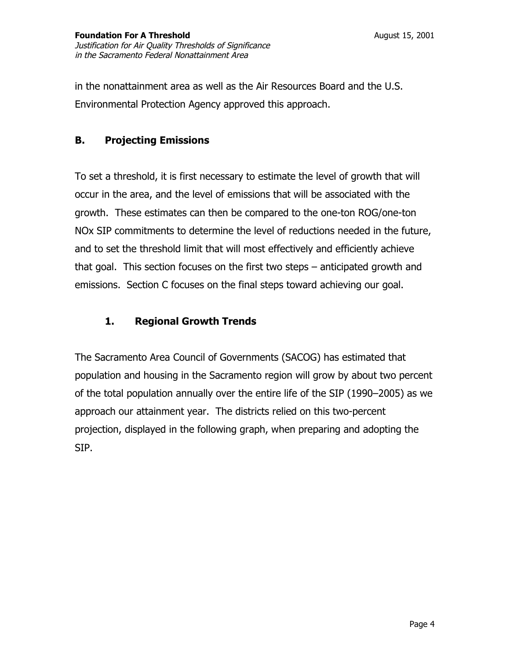in the nonattainment area as well as the Air Resources Board and the U.S. Environmental Protection Agency approved this approach.

#### **B. Projecting Emissions**

To set a threshold, it is first necessary to estimate the level of growth that will occur in the area, and the level of emissions that will be associated with the growth. These estimates can then be compared to the one-ton ROG/one-ton NOx SIP commitments to determine the level of reductions needed in the future, and to set the threshold limit that will most effectively and efficiently achieve that goal. This section focuses on the first two steps – anticipated growth and emissions. Section C focuses on the final steps toward achieving our goal.

#### **1. Regional Growth Trends**

The Sacramento Area Council of Governments (SACOG) has estimated that population and housing in the Sacramento region will grow by about two percent of the total population annually over the entire life of the SIP (1990–2005) as we approach our attainment year. The districts relied on this two-percent projection, displayed in the following graph, when preparing and adopting the SIP.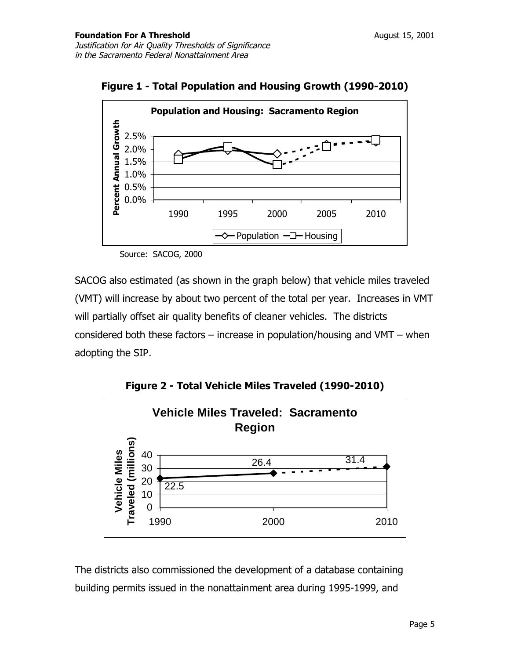

**Figure 1 - Total Population and Housing Growth (1990-2010)** 

Source: SACOG, 2000

SACOG also estimated (as shown in the graph below) that vehicle miles traveled (VMT) will increase by about two percent of the total per year. Increases in VMT will partially offset air quality benefits of cleaner vehicles. The districts considered both these factors – increase in population/housing and VMT – when adopting the SIP.

**Figure 2 - Total Vehicle Miles Traveled (1990-2010)** 



The districts also commissioned the development of a database containing building permits issued in the nonattainment area during 1995-1999, and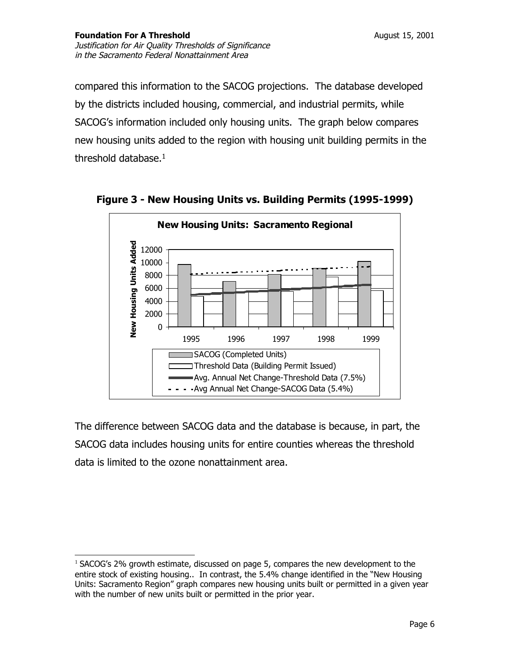compared this information to the SACOG projections. The database developed by the districts included housing, commercial, and industrial permits, while SACOG's information included only housing units. The graph below compares new housing units added to the region with housing unit building permits in the threshold database. $1$ 



**Figure 3 - New Housing Units vs. Building Permits (1995-1999)** 

The difference between SACOG data and the database is because, in part, the SACOG data includes housing units for entire counties whereas the threshold data is limited to the ozone nonattainment area.

 $1$  SACOG's 2% growth estimate, discussed on page 5, compares the new development to the entire stock of existing housing.. In contrast, the 5.4% change identified in the "New Housing Units: Sacramento Region" graph compares new housing units built or permitted in a given year with the number of new units built or permitted in the prior year.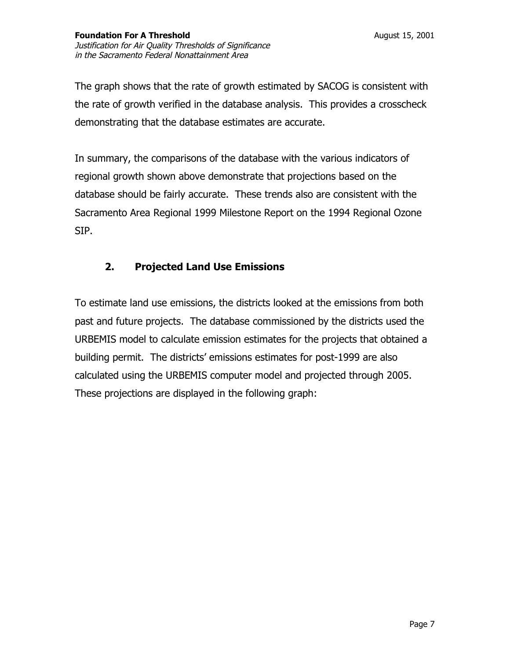The graph shows that the rate of growth estimated by SACOG is consistent with the rate of growth verified in the database analysis. This provides a crosscheck demonstrating that the database estimates are accurate.

In summary, the comparisons of the database with the various indicators of regional growth shown above demonstrate that projections based on the database should be fairly accurate. These trends also are consistent with the Sacramento Area Regional 1999 Milestone Report on the 1994 Regional Ozone SIP.

### **2. Projected Land Use Emissions**

To estimate land use emissions, the districts looked at the emissions from both past and future projects. The database commissioned by the districts used the URBEMIS model to calculate emission estimates for the projects that obtained a building permit. The districts' emissions estimates for post-1999 are also calculated using the URBEMIS computer model and projected through 2005. These projections are displayed in the following graph: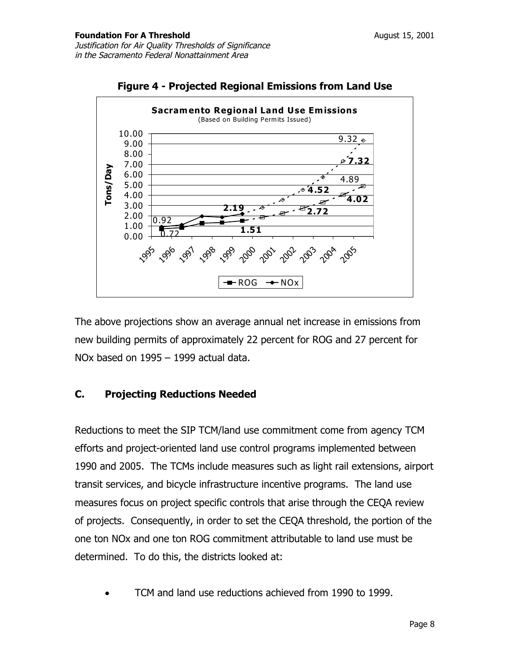

**Figure 4 - Projected Regional Emissions from Land Use** 

The above projections show an average annual net increase in emissions from new building permits of approximately 22 percent for ROG and 27 percent for NOx based on 1995 – 1999 actual data.

### **C. Projecting Reductions Needed**

Reductions to meet the SIP TCM/land use commitment come from agency TCM efforts and project-oriented land use control programs implemented between 1990 and 2005. The TCMs include measures such as light rail extensions, airport transit services, and bicycle infrastructure incentive programs. The land use measures focus on project specific controls that arise through the CEQA review of projects. Consequently, in order to set the CEQA threshold, the portion of the one ton NOx and one ton ROG commitment attributable to land use must be determined. To do this, the districts looked at:

• TCM and land use reductions achieved from 1990 to 1999.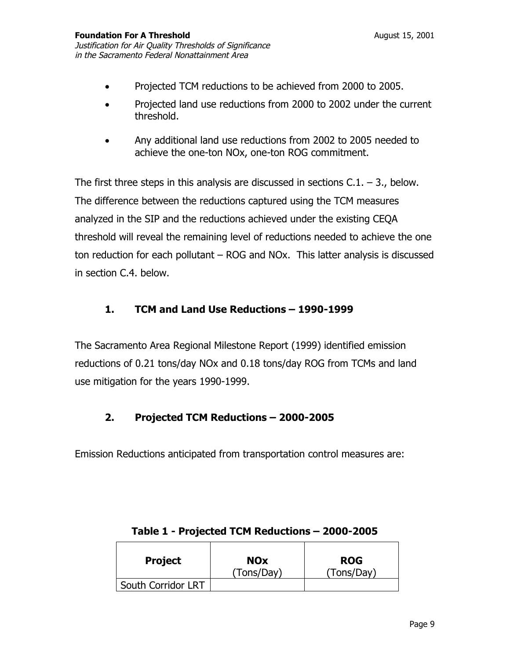- Projected TCM reductions to be achieved from 2000 to 2005.
- Projected land use reductions from 2000 to 2002 under the current threshold.
- Any additional land use reductions from 2002 to 2005 needed to achieve the one-ton NOx, one-ton ROG commitment.

The first three steps in this analysis are discussed in sections  $C.1. - 3.$ , below. The difference between the reductions captured using the TCM measures analyzed in the SIP and the reductions achieved under the existing CEQA threshold will reveal the remaining level of reductions needed to achieve the one ton reduction for each pollutant – ROG and NOx. This latter analysis is discussed in section C.4. below.

### **1. TCM and Land Use Reductions – 1990-1999**

The Sacramento Area Regional Milestone Report (1999) identified emission reductions of 0.21 tons/day NOx and 0.18 tons/day ROG from TCMs and land use mitigation for the years 1990-1999.

### **2. Projected TCM Reductions – 2000-2005**

Emission Reductions anticipated from transportation control measures are:

| <b>Project</b>     | <b>NOx</b> | <b>ROG</b> |
|--------------------|------------|------------|
|                    | (Tons/Day) | (Tons/Day) |
| South Corridor LRT |            |            |

#### **Table 1 - Projected TCM Reductions – 2000-2005**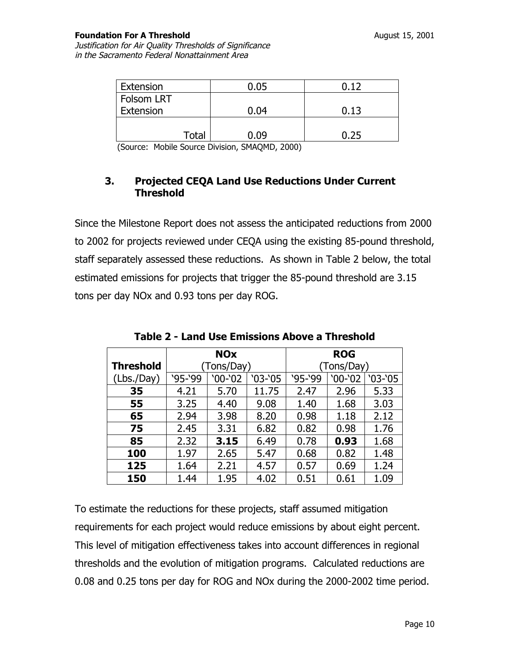#### **Foundation For A Threshold August 15, 2001**

Justification for Air Quality Thresholds of Significance in the Sacramento Federal Nonattainment Area

| Extension                     | 0.05                   | n 17 |
|-------------------------------|------------------------|------|
| Folsom LRT                    |                        |      |
| Extension                     | 0.04                   | 0.13 |
|                               |                        |      |
| <b>Total</b>                  | 0.09                   | 0.25 |
| $\overline{\phantom{a}}$<br>. | -----<br>_<br>-------- |      |

(Source: Mobile Source Division, SMAQMD, 2000)

#### **3. Projected CEQA Land Use Reductions Under Current Threshold**

Since the Milestone Report does not assess the anticipated reductions from 2000 to 2002 for projects reviewed under CEQA using the existing 85-pound threshold, staff separately assessed these reductions. As shown in Table 2 below, the total estimated emissions for projects that trigger the 85-pound threshold are 3.15 tons per day NOx and 0.93 tons per day ROG.

|                  |            | <b>NOx</b> |            |         | <b>ROG</b> |         |
|------------------|------------|------------|------------|---------|------------|---------|
| <b>Threshold</b> | (Tons/Day) |            | (Tons/Day) |         |            |         |
| (Lbs./Day)       | $95-99$    | '00-'02    | `03-`05    | $95-99$ | $'00-'02$  | `03-`05 |
| 35               | 4.21       | 5.70       | 11.75      | 2.47    | 2.96       | 5.33    |
| 55               | 3.25       | 4.40       | 9.08       | 1.40    | 1.68       | 3.03    |
| 65               | 2.94       | 3.98       | 8.20       | 0.98    | 1.18       | 2.12    |
| 75               | 2.45       | 3.31       | 6.82       | 0.82    | 0.98       | 1.76    |
| 85               | 2.32       | 3.15       | 6.49       | 0.78    | 0.93       | 1.68    |
| 100              | 1.97       | 2.65       | 5.47       | 0.68    | 0.82       | 1.48    |
| 125              | 1.64       | 2.21       | 4.57       | 0.57    | 0.69       | 1.24    |
| 150              | 1.44       | 1.95       | 4.02       | 0.51    | 0.61       | 1.09    |

**Table 2 - Land Use Emissions Above a Threshold** 

To estimate the reductions for these projects, staff assumed mitigation requirements for each project would reduce emissions by about eight percent. This level of mitigation effectiveness takes into account differences in regional thresholds and the evolution of mitigation programs. Calculated reductions are 0.08 and 0.25 tons per day for ROG and NOx during the 2000-2002 time period.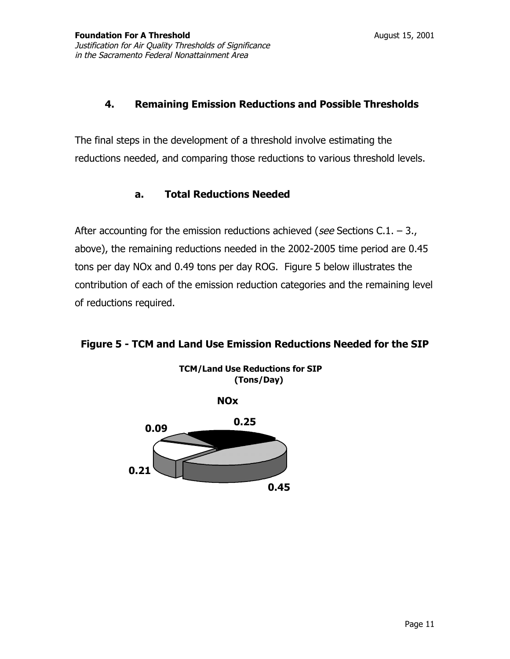#### **4. Remaining Emission Reductions and Possible Thresholds**

The final steps in the development of a threshold involve estimating the reductions needed, and comparing those reductions to various threshold levels.

#### **a. Total Reductions Needed**

After accounting for the emission reductions achieved (see Sections C.1.  $-$  3., above), the remaining reductions needed in the 2002-2005 time period are 0.45 tons per day NOx and 0.49 tons per day ROG. Figure 5 below illustrates the contribution of each of the emission reduction categories and the remaining level of reductions required.

#### **Figure 5 - TCM and Land Use Emission Reductions Needed for the SIP**



**TCM/Land Use Reductions for SIP**

**0.45**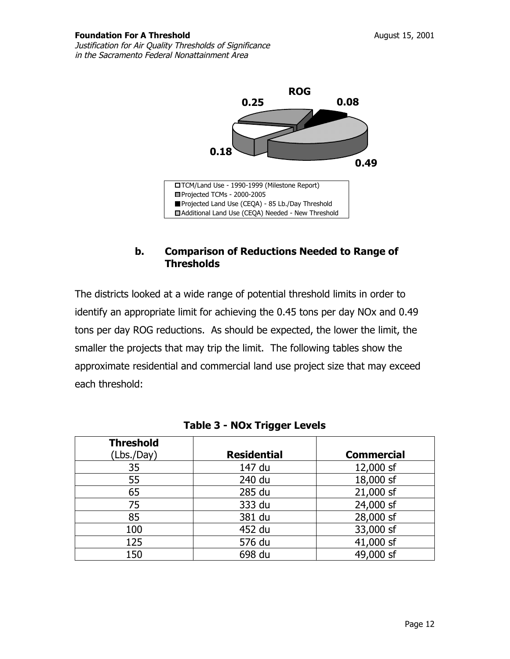

#### **b. Comparison of Reductions Needed to Range of Thresholds**

The districts looked at a wide range of potential threshold limits in order to identify an appropriate limit for achieving the 0.45 tons per day NOx and 0.49 tons per day ROG reductions. As should be expected, the lower the limit, the smaller the projects that may trip the limit. The following tables show the approximate residential and commercial land use project size that may exceed each threshold:

| <b>Threshold</b><br>(Lbs./Day) | <b>Residential</b> | <b>Commercial</b> |
|--------------------------------|--------------------|-------------------|
| 35                             | 147 du             | 12,000 sf         |
| 55                             | 240 du             | 18,000 sf         |
| 65                             | 285 du             | 21,000 sf         |
| 75                             | 333 du             | 24,000 sf         |
| 85                             | 381 du             | 28,000 sf         |
| 100                            | 452 du             | 33,000 sf         |
| 125                            | 576 du             | 41,000 sf         |
| 150                            | 698 du             | 49,000 sf         |

| Table 3 - NOx Trigger Levels |
|------------------------------|
|------------------------------|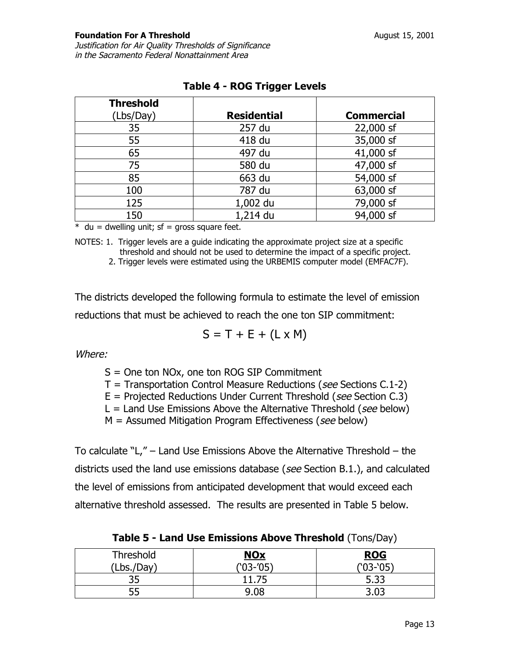Justification for Air Quality Thresholds of Significance in the Sacramento Federal Nonattainment Area

| <b>Threshold</b> |                    |                   |
|------------------|--------------------|-------------------|
| (Lbs/Day)        | <b>Residential</b> | <b>Commercial</b> |
| 35               | 257 du             | 22,000 sf         |
| 55               | 418 du             | 35,000 sf         |
| 65               | 497 du             | 41,000 sf         |
| 75               | 580 du             | 47,000 sf         |
| 85               | 663 du             | 54,000 sf         |
| 100              | 787 du             | 63,000 sf         |
| 125              | 1,002 du           | 79,000 sf         |
| 150              | 1,214 du           | 94,000 sf         |

## **Table 4 - ROG Trigger Levels**

 $*$  du = dwelling unit; sf = gross square feet.

NOTES: 1. Trigger levels are a guide indicating the approximate project size at a specific threshold and should not be used to determine the impact of a specific project.

2. Trigger levels were estimated using the URBEMIS computer model (EMFAC7F).

The districts developed the following formula to estimate the level of emission reductions that must be achieved to reach the one ton SIP commitment:

$$
S = T + E + (L \times M)
$$

Where:

S = One ton NOx, one ton ROG SIP Commitment

 $T =$  Transportation Control Measure Reductions (see Sections C.1-2)

 $E =$  Projected Reductions Under Current Threshold (see Section C.3)

 $L =$  Land Use Emissions Above the Alternative Threshold (see below)

 $M =$  Assumed Mitigation Program Effectiveness (see below)

To calculate "L," – Land Use Emissions Above the Alternative Threshold – the districts used the land use emissions database (see Section B.1.), and calculated the level of emissions from anticipated development that would exceed each alternative threshold assessed. The results are presented in Table 5 below.

**Threshold** (Lbs./Day) **NOx**  ('03-'05) **ROG**  ('03-'05) 35 11.75 5.33 55 9.08 3.03

**Table 5 - Land Use Emissions Above Threshold** (Tons/Day)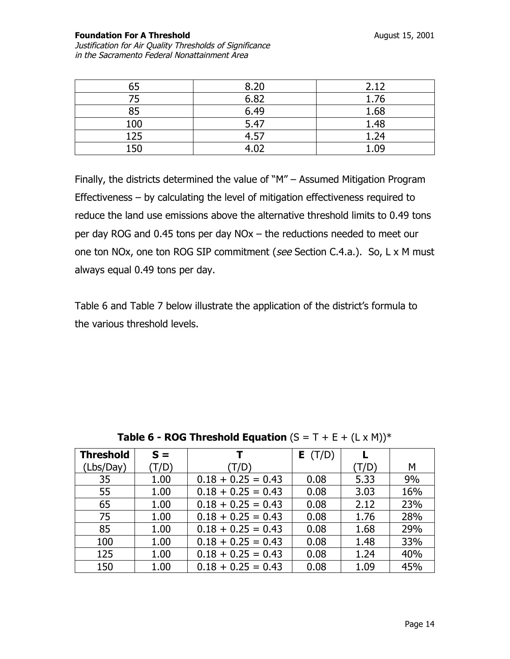**Foundation For A Threshold August 15, 2001** Justification for Air Quality Thresholds of Significance in the Sacramento Federal Nonattainment Area

| 65  | 8.20 | 2.12 |
|-----|------|------|
| 75  | 6.82 | 1.76 |
| 85  | 6.49 | 1.68 |
| 100 | 5.47 | 1.48 |
| 125 | 4.57 | 1.24 |
| 150 | 4 በን | 1.09 |

Finally, the districts determined the value of "M" – Assumed Mitigation Program Effectiveness – by calculating the level of mitigation effectiveness required to reduce the land use emissions above the alternative threshold limits to 0.49 tons per day ROG and 0.45 tons per day NOx – the reductions needed to meet our one ton NOx, one ton ROG SIP commitment (see Section C.4.a.). So, L x M must always equal 0.49 tons per day.

Table 6 and Table 7 below illustrate the application of the district's formula to the various threshold levels.

| <b>Threshold</b> | $S =$ | т                    | E(T/D) |       |     |
|------------------|-------|----------------------|--------|-------|-----|
| (Lbs/Day)        | (T/D) | (T/D)                |        | (T/D) | M   |
| 35               | 1.00  | $0.18 + 0.25 = 0.43$ | 0.08   | 5.33  | 9%  |
| 55               | 1.00  | $0.18 + 0.25 = 0.43$ | 0.08   | 3.03  | 16% |
| 65               | 1.00  | $0.18 + 0.25 = 0.43$ | 0.08   | 2.12  | 23% |
| 75               | 1.00  | $0.18 + 0.25 = 0.43$ | 0.08   | 1.76  | 28% |
| 85               | 1.00  | $0.18 + 0.25 = 0.43$ | 0.08   | 1.68  | 29% |
| 100              | 1.00  | $0.18 + 0.25 = 0.43$ | 0.08   | 1.48  | 33% |
| 125              | 1.00  | $0.18 + 0.25 = 0.43$ | 0.08   | 1.24  | 40% |
| 150              | 1.00  | $0.18 + 0.25 = 0.43$ | 0.08   | 1.09  | 45% |

**Table 6 - ROG Threshold Equation**  $(S = T + E + (L \times M))^*$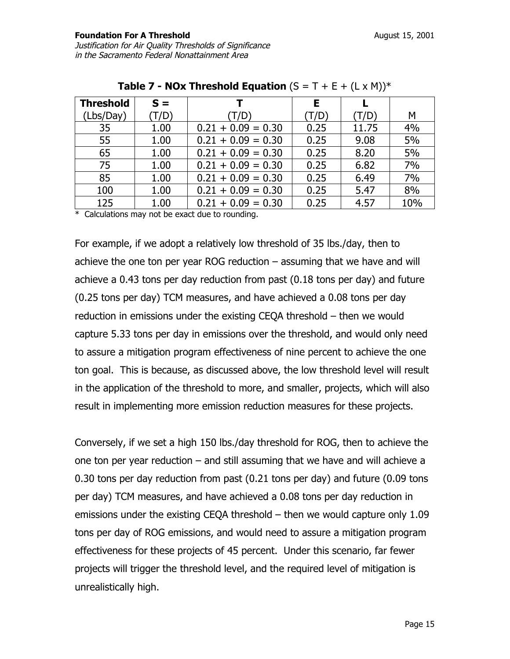| <b>Threshold</b> | $S =$ |                      | Е     |       |     |
|------------------|-------|----------------------|-------|-------|-----|
| (Lbs/Day)        | (T/D) | T/D)                 | (T/D) | (T/D) | М   |
| 35               | 1.00  | $0.21 + 0.09 = 0.30$ | 0.25  | 11.75 | 4%  |
| 55               | 1.00  | $0.21 + 0.09 = 0.30$ | 0.25  | 9.08  | 5%  |
| 65               | 1.00  | $0.21 + 0.09 = 0.30$ | 0.25  | 8.20  | 5%  |
| 75               | 1.00  | $0.21 + 0.09 = 0.30$ | 0.25  | 6.82  | 7%  |
| 85               | 1.00  | $0.21 + 0.09 = 0.30$ | 0.25  | 6.49  | 7%  |
| 100              | 1.00  | $0.21 + 0.09 = 0.30$ | 0.25  | 5.47  | 8%  |
| 125              | 1.00  | $0.21 + 0.09 = 0.30$ | 0.25  | 4.57  | 10% |

\* Calculations may not be exact due to rounding.

For example, if we adopt a relatively low threshold of 35 lbs./day, then to achieve the one ton per year ROG reduction – assuming that we have and will achieve a 0.43 tons per day reduction from past (0.18 tons per day) and future (0.25 tons per day) TCM measures, and have achieved a 0.08 tons per day reduction in emissions under the existing CEQA threshold – then we would capture 5.33 tons per day in emissions over the threshold, and would only need to assure a mitigation program effectiveness of nine percent to achieve the one ton goal. This is because, as discussed above, the low threshold level will result in the application of the threshold to more, and smaller, projects, which will also result in implementing more emission reduction measures for these projects.

Conversely, if we set a high 150 lbs./day threshold for ROG, then to achieve the one ton per year reduction – and still assuming that we have and will achieve a 0.30 tons per day reduction from past (0.21 tons per day) and future (0.09 tons per day) TCM measures, and have achieved a 0.08 tons per day reduction in emissions under the existing CEQA threshold – then we would capture only 1.09 tons per day of ROG emissions, and would need to assure a mitigation program effectiveness for these projects of 45 percent. Under this scenario, far fewer projects will trigger the threshold level, and the required level of mitigation is unrealistically high.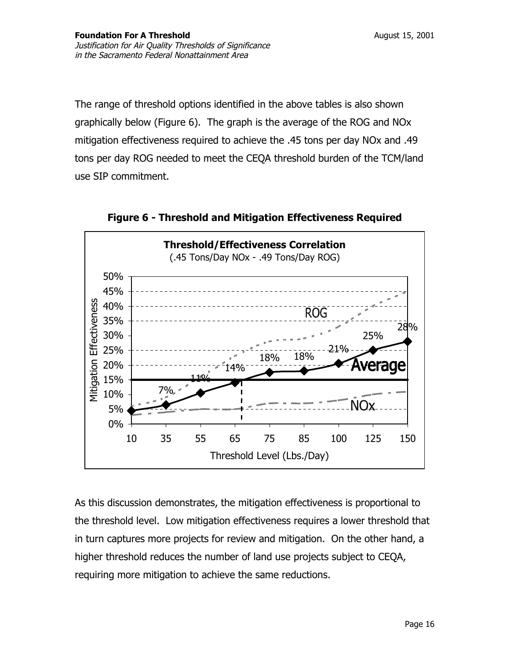The range of threshold options identified in the above tables is also shown graphically below (Figure 6). The graph is the average of the ROG and NOx mitigation effectiveness required to achieve the .45 tons per day NOx and .49 tons per day ROG needed to meet the CEQA threshold burden of the TCM/land use SIP commitment.



**Figure 6 - Threshold and Mitigation Effectiveness Required** 

As this discussion demonstrates, the mitigation effectiveness is proportional to the threshold level. Low mitigation effectiveness requires a lower threshold that in turn captures more projects for review and mitigation. On the other hand, a higher threshold reduces the number of land use projects subject to CEQA, requiring more mitigation to achieve the same reductions.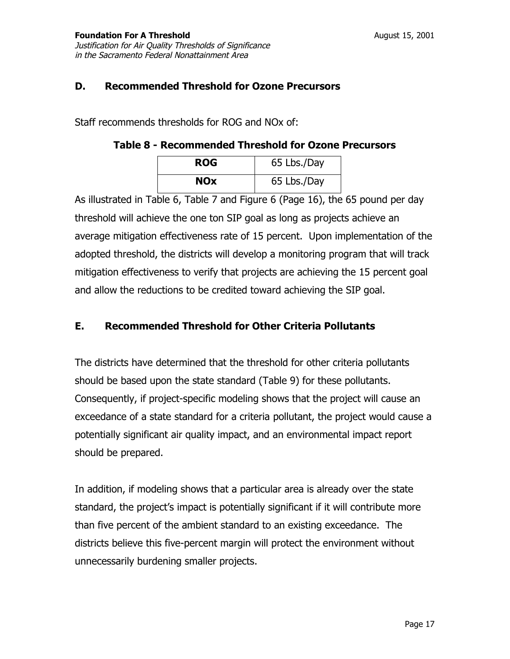#### **D. Recommended Threshold for Ozone Precursors**

Staff recommends thresholds for ROG and NOx of:

#### **Table 8 - Recommended Threshold for Ozone Precursors**

| <b>ROG</b> | 65 Lbs./Day |
|------------|-------------|
| <b>NOx</b> | 65 Lbs./Day |

As illustrated in Table 6, Table 7 and Figure 6 (Page 16), the 65 pound per day threshold will achieve the one ton SIP goal as long as projects achieve an average mitigation effectiveness rate of 15 percent. Upon implementation of the adopted threshold, the districts will develop a monitoring program that will track mitigation effectiveness to verify that projects are achieving the 15 percent goal and allow the reductions to be credited toward achieving the SIP goal.

### **E. Recommended Threshold for Other Criteria Pollutants**

The districts have determined that the threshold for other criteria pollutants should be based upon the state standard (Table 9) for these pollutants. Consequently, if project-specific modeling shows that the project will cause an exceedance of a state standard for a criteria pollutant, the project would cause a potentially significant air quality impact, and an environmental impact report should be prepared.

In addition, if modeling shows that a particular area is already over the state standard, the project's impact is potentially significant if it will contribute more than five percent of the ambient standard to an existing exceedance. The districts believe this five-percent margin will protect the environment without unnecessarily burdening smaller projects.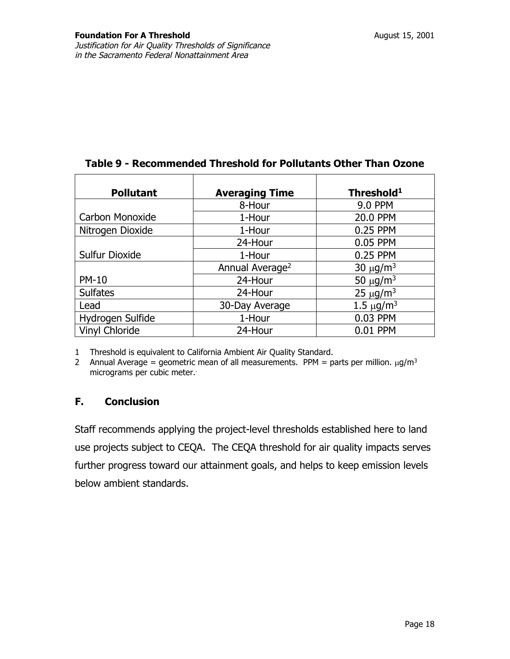| <b>Pollutant</b>      | <b>Averaging Time</b>       | Threshold <sup>1</sup>     |
|-----------------------|-----------------------------|----------------------------|
|                       | 8-Hour                      | <b>9.0 PPM</b>             |
| Carbon Monoxide       | 1-Hour                      | 20.0 PPM                   |
| Nitrogen Dioxide      | 1-Hour                      | 0.25 PPM                   |
|                       | 24-Hour                     | 0.05 PPM                   |
| <b>Sulfur Dioxide</b> | 1-Hour                      | 0.25 PPM                   |
|                       | Annual Average <sup>2</sup> | 30 $\mu$ g/m <sup>3</sup>  |
| <b>PM-10</b>          | 24-Hour                     | 50 $\mu$ g/m <sup>3</sup>  |
| <b>Sulfates</b>       | 24-Hour                     | 25 $\mu$ g/m <sup>3</sup>  |
| Lead                  | 30-Day Average              | 1.5 $\mu$ g/m <sup>3</sup> |
| Hydrogen Sulfide      | 1-Hour                      | 0.03 PPM                   |
| Vinyl Chloride        | 24-Hour                     | 0.01 PPM                   |

#### **Table 9 - Recommended Threshold for Pollutants Other Than Ozone**

1 Threshold is equivalent to California Ambient Air Quality Standard.

2 Annual Average = geometric mean of all measurements. PPM = parts per million.  $\mu q/m^3$ micrograms per cubic meter..

#### **F. Conclusion**

Staff recommends applying the project-level thresholds established here to land use projects subject to CEQA. The CEQA threshold for air quality impacts serves further progress toward our attainment goals, and helps to keep emission levels below ambient standards.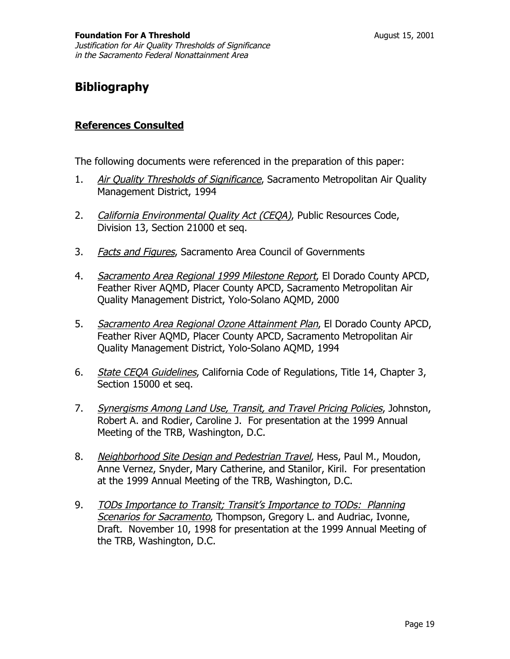## **Bibliography**

#### **References Consulted**

The following documents were referenced in the preparation of this paper:

- 1. Air Quality Thresholds of Significance, Sacramento Metropolitan Air Quality Management District, 1994
- 2. California Environmental Quality Act (CEQA), Public Resources Code, Division 13, Section 21000 et seq.
- 3. Facts and Figures, Sacramento Area Council of Governments
- 4. Sacramento Area Regional 1999 Milestone Report, El Dorado County APCD, Feather River AQMD, Placer County APCD, Sacramento Metropolitan Air Quality Management District, Yolo-Solano AQMD, 2000
- 5. Sacramento Area Regional Ozone Attainment Plan, El Dorado County APCD, Feather River AQMD, Placer County APCD, Sacramento Metropolitan Air Quality Management District, Yolo-Solano AQMD, 1994
- 6. State CEQA Guidelines, California Code of Regulations, Title 14, Chapter 3, Section 15000 et seq.
- 7. Synergisms Among Land Use, Transit, and Travel Pricing Policies, Johnston, Robert A. and Rodier, Caroline J. For presentation at the 1999 Annual Meeting of the TRB, Washington, D.C.
- 8. Neighborhood Site Design and Pedestrian Travel, Hess, Paul M., Moudon, Anne Vernez, Snyder, Mary Catherine, and Stanilor, Kiril. For presentation at the 1999 Annual Meeting of the TRB, Washington, D.C.
- 9. TODs Importance to Transit; Transit's Importance to TODs: Planning Scenarios for Sacramento, Thompson, Gregory L. and Audriac, Ivonne, Draft. November 10, 1998 for presentation at the 1999 Annual Meeting of the TRB, Washington, D.C.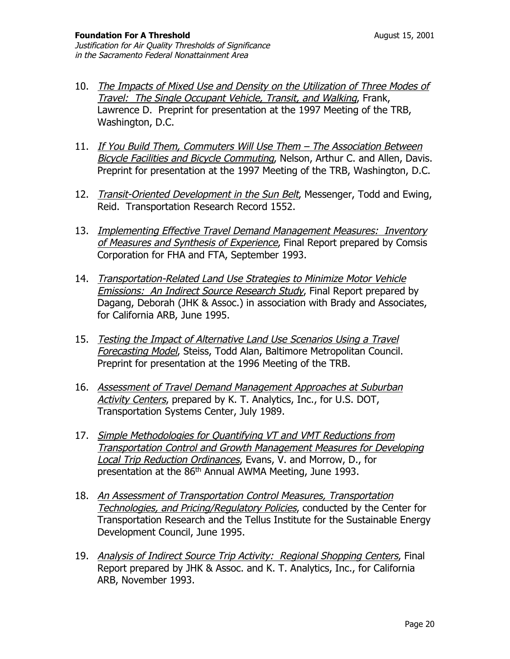- 10. The Impacts of Mixed Use and Density on the Utilization of Three Modes of Travel: The Single Occupant Vehicle, Transit, and Walking, Frank, Lawrence D. Preprint for presentation at the 1997 Meeting of the TRB, Washington, D.C.
- 11. If You Build Them, Commuters Will Use Them The Association Between Bicycle Facilities and Bicycle Commuting, Nelson, Arthur C. and Allen, Davis. Preprint for presentation at the 1997 Meeting of the TRB, Washington, D.C.
- 12. Transit-Oriented Development in the Sun Belt, Messenger, Todd and Ewing, Reid. Transportation Research Record 1552.
- 13. Implementing Effective Travel Demand Management Measures: Inventory of Measures and Synthesis of Experience, Final Report prepared by Comsis Corporation for FHA and FTA, September 1993.
- 14. Transportation-Related Land Use Strategies to Minimize Motor Vehicle Emissions: An Indirect Source Research Study, Final Report prepared by Dagang, Deborah (JHK & Assoc.) in association with Brady and Associates, for California ARB, June 1995.
- 15. Testing the Impact of Alternative Land Use Scenarios Using a Travel Forecasting Model, Steiss, Todd Alan, Baltimore Metropolitan Council. Preprint for presentation at the 1996 Meeting of the TRB.
- 16. Assessment of Travel Demand Management Approaches at Suburban Activity Centers, prepared by K. T. Analytics, Inc., for U.S. DOT, Transportation Systems Center, July 1989.
- 17. Simple Methodologies for Quantifying VT and VMT Reductions from Transportation Control and Growth Management Measures for Developing **Local Trip Reduction Ordinances, Evans, V. and Morrow, D., for** presentation at the 86th Annual AWMA Meeting, June 1993.
- 18. An Assessment of Transportation Control Measures, Transportation Technologies, and Pricing/Regulatory Policies, conducted by the Center for Transportation Research and the Tellus Institute for the Sustainable Energy Development Council, June 1995.
- 19. Analysis of Indirect Source Trip Activity: Regional Shopping Centers, Final Report prepared by JHK & Assoc. and K. T. Analytics, Inc., for California ARB, November 1993.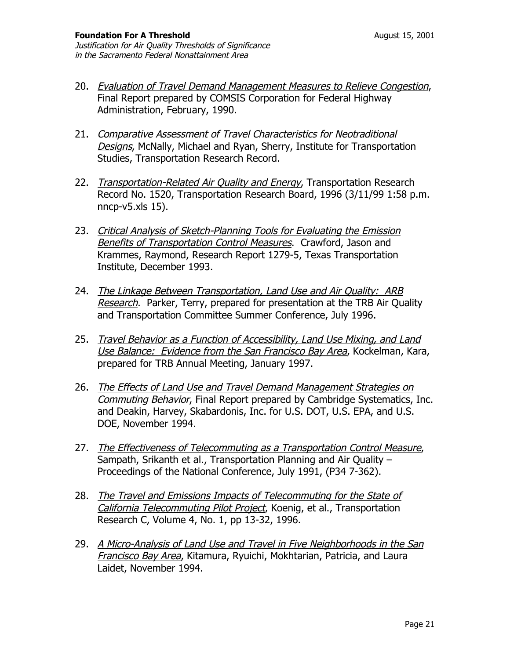- 20. *Evaluation of Travel Demand Management Measures to Relieve Congestion*, Final Report prepared by COMSIS Corporation for Federal Highway Administration, February, 1990.
- 21. Comparative Assessment of Travel Characteristics for Neotraditional Designs, McNally, Michael and Ryan, Sherry, Institute for Transportation Studies, Transportation Research Record.
- 22. Transportation-Related Air Quality and Energy, Transportation Research Record No. 1520, Transportation Research Board, 1996 (3/11/99 1:58 p.m. nncp-v5.xls 15).
- 23. Critical Analysis of Sketch-Planning Tools for Evaluating the Emission Benefits of Transportation Control Measures. Crawford, Jason and Krammes, Raymond, Research Report 1279-5, Texas Transportation Institute, December 1993.
- 24. The Linkage Between Transportation, Land Use and Air Quality: ARB Research. Parker, Terry, prepared for presentation at the TRB Air Quality and Transportation Committee Summer Conference, July 1996.
- 25. Travel Behavior as a Function of Accessibility, Land Use Mixing, and Land Use Balance: Evidence from the San Francisco Bay Area, Kockelman, Kara, prepared for TRB Annual Meeting, January 1997.
- 26. The Effects of Land Use and Travel Demand Management Strategies on Commuting Behavior, Final Report prepared by Cambridge Systematics, Inc. and Deakin, Harvey, Skabardonis, Inc. for U.S. DOT, U.S. EPA, and U.S. DOE, November 1994.
- 27. The Effectiveness of Telecommuting as a Transportation Control Measure, Sampath, Srikanth et al., Transportation Planning and Air Quality – Proceedings of the National Conference, July 1991, (P34 7-362).
- 28. The Travel and Emissions Impacts of Telecommuting for the State of California Telecommuting Pilot Project, Koenig, et al., Transportation Research C, Volume 4, No. 1, pp 13-32, 1996.
- 29. A Micro-Analysis of Land Use and Travel in Five Neighborhoods in the San **Francisco Bay Area, Kitamura, Ryuichi, Mokhtarian, Patricia, and Laura** Laidet, November 1994.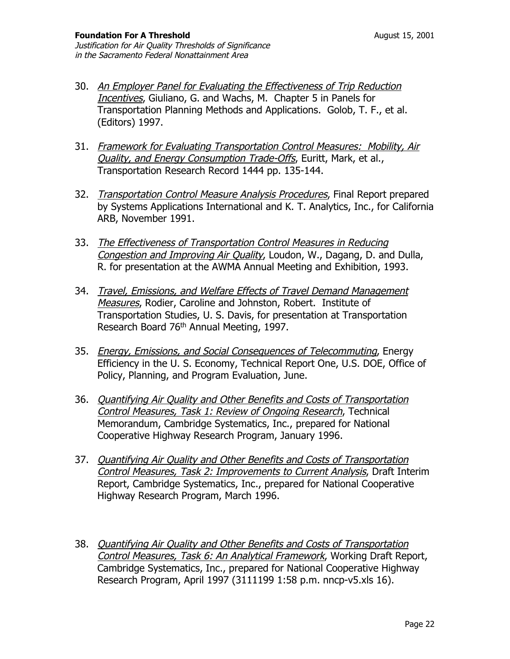- 30. An Employer Panel for Evaluating the Effectiveness of Trip Reduction Incentives, Giuliano, G. and Wachs, M. Chapter 5 in Panels for Transportation Planning Methods and Applications. Golob, T. F., et al. (Editors) 1997.
- 31. Framework for Evaluating Transportation Control Measures: Mobility, Air Quality, and Energy Consumption Trade-Offs, Euritt, Mark, et al., Transportation Research Record 1444 pp. 135-144.
- 32. Transportation Control Measure Analysis Procedures, Final Report prepared by Systems Applications International and K. T. Analytics, Inc., for California ARB, November 1991.
- 33. The Effectiveness of Transportation Control Measures in Reducing Congestion and Improving Air Quality, Loudon, W., Dagang, D. and Dulla, R. for presentation at the AWMA Annual Meeting and Exhibition, 1993.
- 34. Travel, Emissions, and Welfare Effects of Travel Demand Management Measures, Rodier, Caroline and Johnston, Robert. Institute of Transportation Studies, U. S. Davis, for presentation at Transportation Research Board 76<sup>th</sup> Annual Meeting, 1997.
- 35. Energy, Emissions, and Social Consequences of Telecommuting, Energy Efficiency in the U. S. Economy, Technical Report One, U.S. DOE, Office of Policy, Planning, and Program Evaluation, June.
- 36. Quantifying Air Quality and Other Benefits and Costs of Transportation Control Measures, Task 1: Review of Ongoing Research, Technical Memorandum, Cambridge Systematics, Inc., prepared for National Cooperative Highway Research Program, January 1996.
- 37. Quantifying Air Quality and Other Benefits and Costs of Transportation Control Measures, Task 2: Improvements to Current Analysis, Draft Interim Report, Cambridge Systematics, Inc., prepared for National Cooperative Highway Research Program, March 1996.
- 38. Quantifying Air Quality and Other Benefits and Costs of Transportation Control Measures, Task 6: An Analytical Framework, Working Draft Report, Cambridge Systematics, Inc., prepared for National Cooperative Highway Research Program, April 1997 (3111199 1:58 p.m. nncp-v5.xls 16).